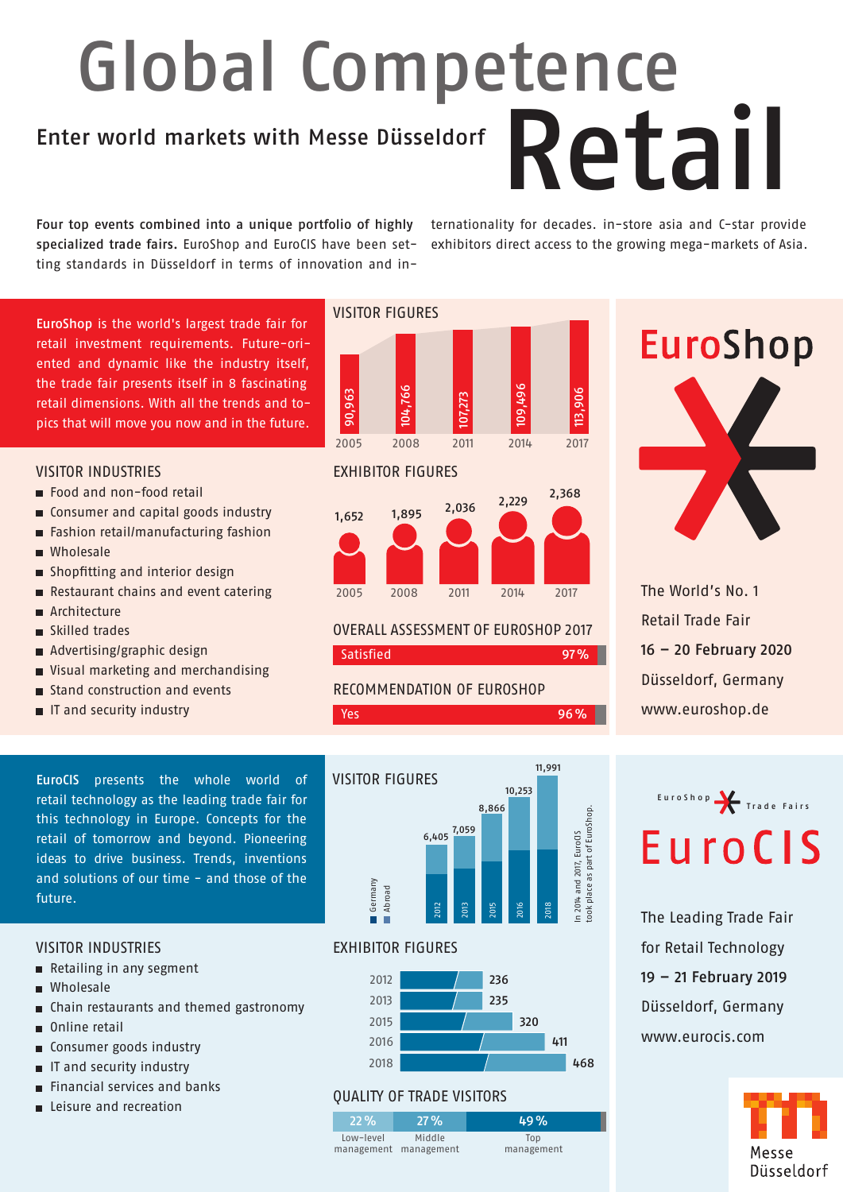## Global Competence

### Enter world markets with Messe Düsseldorf<br>
Retail I

Four top events combined into a unique portfolio of highly specialized trade fairs. EuroShop and EuroCIS have been setting standards in Düsseldorf in terms of innovation and internationality for decades. in-store asia and C-star provide exhibitors direct access to the growing mega-markets of Asia.

EuroShop is the world's largest trade fair for retail investment requirements. Future-oriented and dynamic like the industry itself, the trade fair presents itself in 8 fascinating retail dimensions. With all the trends and topics that will move you now and in the future.

### VISITOR INDUSTRIES

- Food and non-food retail
- Consumer and capital goods industry
- Fashion retail/manufacturing fashion
- **Wholesale**
- Shopfitting and interior design
- Restaurant chains and event catering
- **Architecture**
- Skilled trades
- Advertising/graphic design
- Visual marketing and merchandising
- Stand construction and events
- IT and security industry

EuroCIS presents the whole world of retail technology as the leading trade fair for this technology in Europe. Concepts for the retail of tomorrow and beyond. Pioneering ideas to drive business. Trends, inventions and solutions of our time - and those of the future.

#### VISITOR INDUSTRIES

- Retailing in any segment
- **Wholesale**
- Chain restaurants and themed gastronomy
- Online retail
- Consumer goods industry
- **IF and security industry**
- **Financial services and banks**
- **Leisure and recreation**







OVERALL ASSESSMENT OF EUROSHOP 2017 Satisfied 97%

**Yes** 96%

RECOMMENDATION OF EUROSHOP

# **EuroShop**

The World's No. 1 Retail Trade Fair 16 – 20 February 2020 Düsseldorf, Germany www.euroshop.de



The Leading Trade Fair for Retail Technology 19 – 21 February 2019 Düsseldorf, Germany www.eurocis.com





### EXHIBITOR FIGURES



### QUALITY OF TRADE VISITORS

22% Low-level management management Middle 27% 49%

Top management